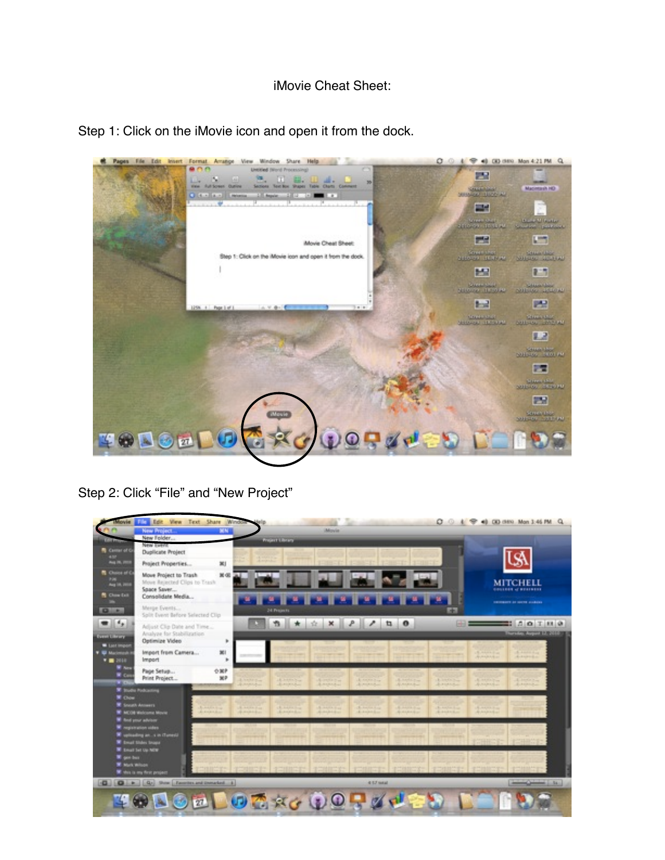## iMovie Cheat Sheet:



Step 1: Click on the iMovie icon and open it from the dock.

Step 2: Click "File" and "New Project"

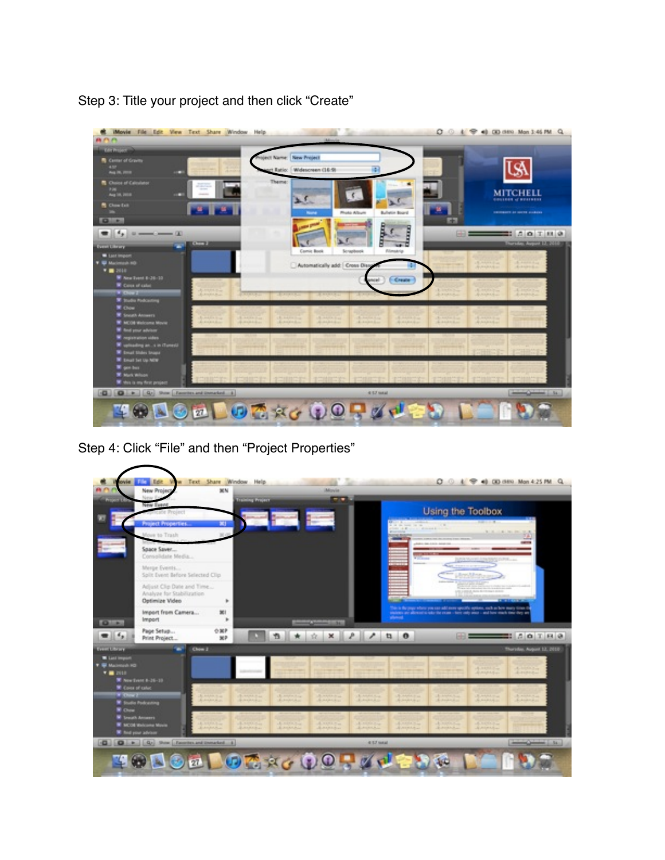

Step 3: Title your project and then click "Create"

Step 4: Click "File" and then "Project Properties"

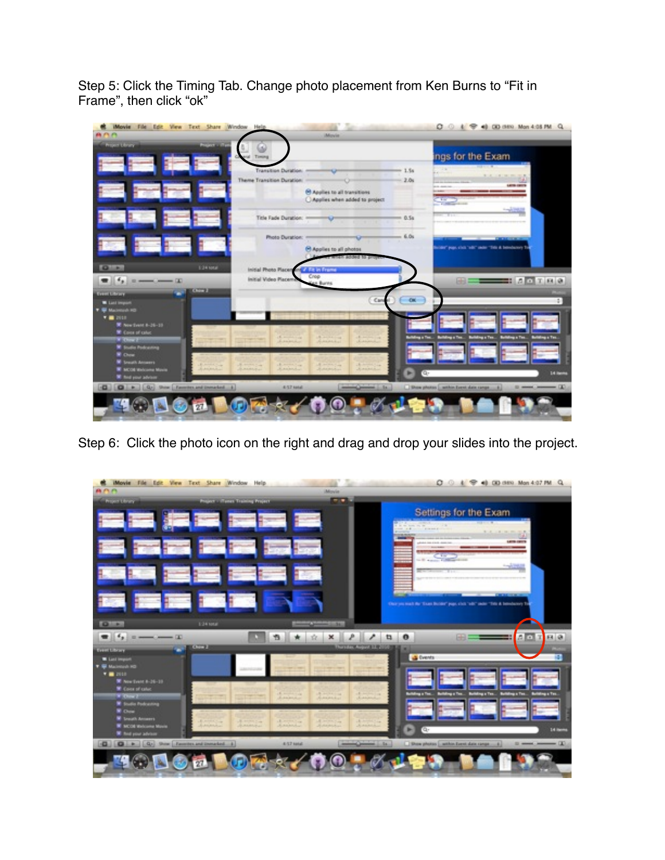Step 5: Click the Timing Tab. Change photo placement from Ken Burns to "Fit in Frame", then click "ok"

| a nin                                                                               | <b>Project of Day</b>                                                                        | <b>Movie</b>                                                                 |                                            |                                                                                     |
|-------------------------------------------------------------------------------------|----------------------------------------------------------------------------------------------|------------------------------------------------------------------------------|--------------------------------------------|-------------------------------------------------------------------------------------|
| <b>Project Library</b>                                                              |                                                                                              |                                                                              |                                            | ngs for the Exam                                                                    |
|                                                                                     | Transition Duration: -                                                                       | <b>CONTRACTOR</b>                                                            | <b>POTAT</b><br>$-1.54$<br>$\sim$          | <b>THE R. P. LEWIS.</b>                                                             |
|                                                                                     | Theme Transition Duration                                                                    | <b>O Britannical Communication</b>                                           | $-2.04$<br>---                             | With the comment of<br><b>LATIN CATCH</b>                                           |
|                                                                                     |                                                                                              | <sup>(c)</sup> Applies to all transitions<br>C Applies when added to project |                                            |                                                                                     |
|                                                                                     |                                                                                              |                                                                              | $= 0.54$                                   |                                                                                     |
|                                                                                     | Photo Duration: 1                                                                            | $C = 6.0$                                                                    |                                            |                                                                                     |
|                                                                                     |                                                                                              | <sup>(C)</sup> Applies to all photos                                         |                                            | (der" papi, clvi), "adir" sadar "Tida & belindurery T                               |
| $Q_{\rm{max}}$                                                                      | 1:34 total<br>initial Photo Placen and A 324 millions                                        | dded to prove                                                                |                                            |                                                                                     |
|                                                                                     | Initial Video Placem                                                                         | Crop<br>in Burns                                                             |                                            | $F = 100$                                                                           |
| <b>Constitutions</b>                                                                | <b>COUNTER</b>                                                                               |                                                                              |                                            |                                                                                     |
| <b>W</b> List Import<br><b>T &amp; MacHook RD</b>                                   |                                                                                              | <b>Can</b>                                                                   | $-0k$                                      |                                                                                     |
| <b>THE DISK</b>                                                                     |                                                                                              |                                                                              |                                            |                                                                                     |
| W Northert 6-26-19<br><b>W</b> Cover of colum                                       |                                                                                              |                                                                              |                                            |                                                                                     |
| <b>Witness</b><br><b>W</b> Toulis Presenting                                        | $\mathbf{E} = -\frac{1}{2} \mathbf{E} + \frac{1}{2} \mathbf{E}$<br>Lanker                    | All including Lake<br>A service con-<br><b>Laborator</b><br>American         |                                            | Building o Tex., Building o Tex., Building o Tex., Building o Tex., Building o Tex. |
| <b>W</b> China<br><b>W</b> Leasth Amazer                                            |                                                                                              |                                                                              |                                            |                                                                                     |
| <b>W</b> INCOR Welcome Movie                                                        | A comments<br>A month Core<br><b>Richmond</b><br><b>RAMARA</b><br>premier<br><b>RAMARALL</b> | A month from<br>A STATISTICS<br>Annie<br><b>JEUREBURN</b>                    | a.                                         | 14 mm                                                                               |
| <b>W</b> End your adviser<br><b>Q Q b</b> Q <sub>2</sub> Sox Exects and installed & | ALCZ kotali                                                                                  | <b>Construction of the American</b>                                          | Date photos _ anthos Exect slate range  \$ | <b>Director (2)</b>                                                                 |
|                                                                                     |                                                                                              |                                                                              |                                            |                                                                                     |

Step 6: Click the photo icon on the right and drag and drop your slides into the project.

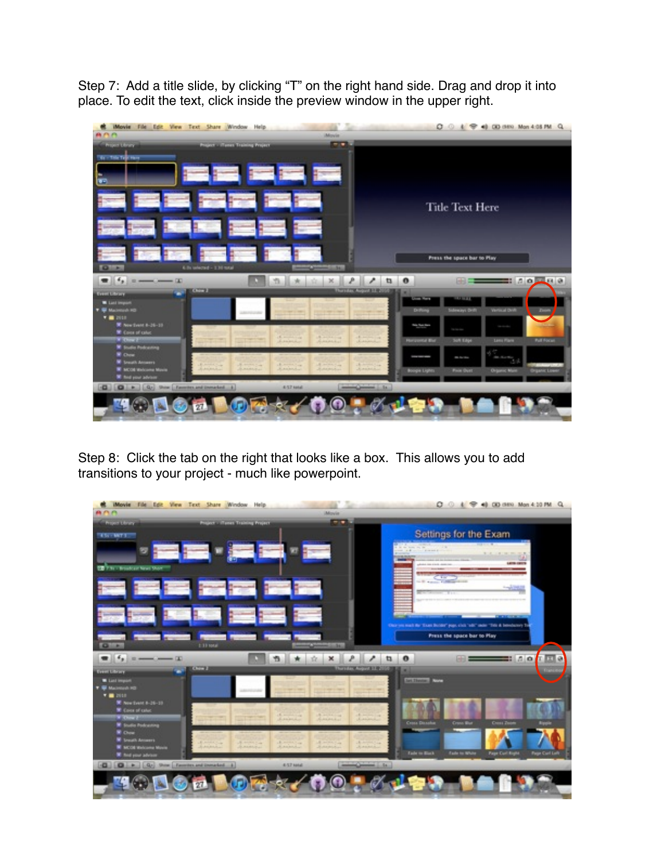Step 7: Add a title slide, by clicking "T" on the right hand side. Drag and drop it into place. To edit the text, click inside the preview window in the upper right.



Step 8: Click the tab on the right that looks like a box. This allows you to add transitions to your project - much like powerpoint.

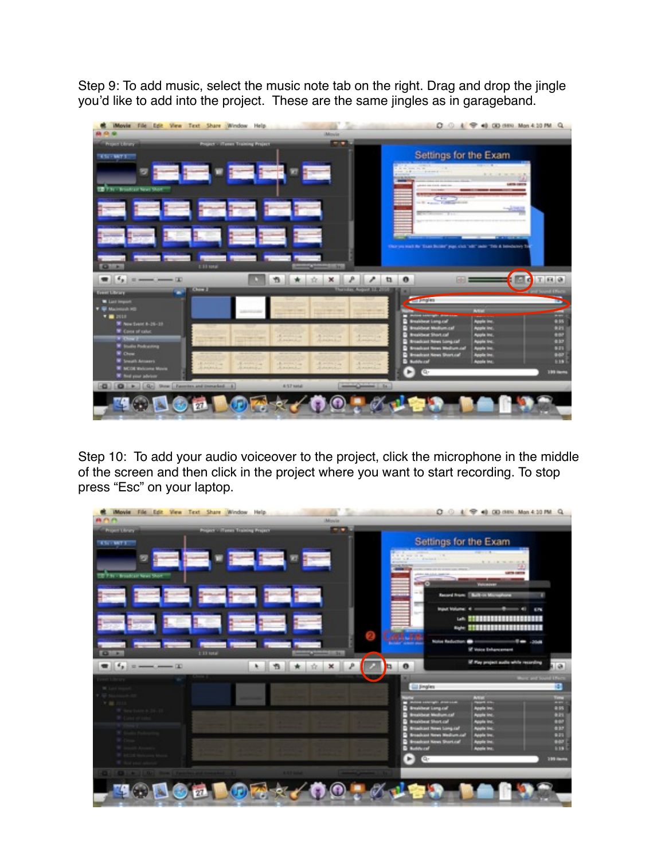Step 9: To add music, select the music note tab on the right. Drag and drop the jingle you'd like to add into the project. These are the same jingles as in garageband.



Step 10: To add your audio voiceover to the project, click the microphone in the middle of the screen and then click in the project where you want to start recording. To stop press "Esc" on your laptop.

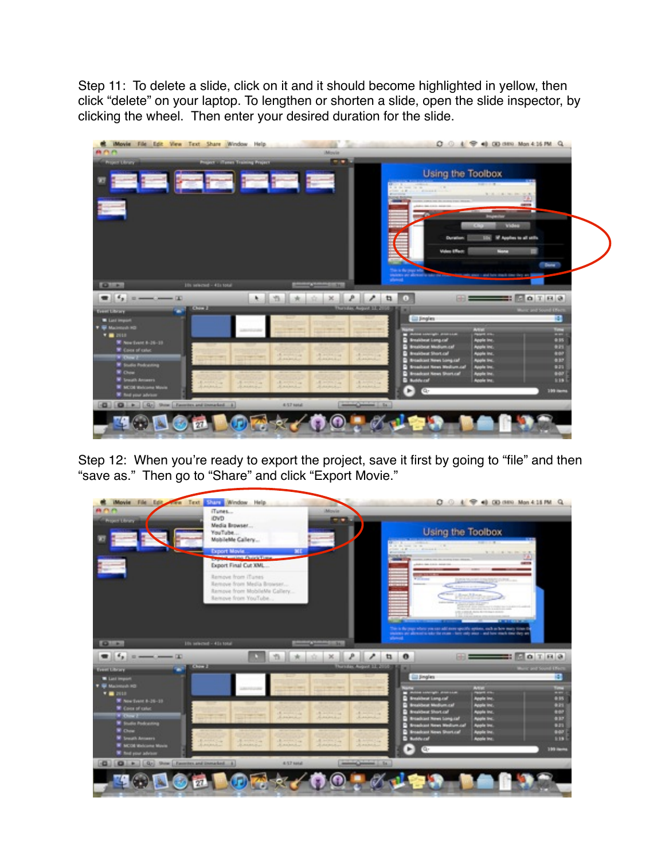Step 11: To delete a slide, click on it and it should become highlighted in yellow, then click "delete" on your laptop. To lengthen or shorten a slide, open the slide inspector, by clicking the wheel. Then enter your desired duration for the slide.



Step 12: When you're ready to export the project, save it first by going to "file" and then "save as." Then go to "Share" and click "Export Movie."

| Movie File Edit From Text String Window Help<br><b>CLUB</b><br><b>Brood Union</b>  | iTunes<br><b>IDVD</b><br>Media Browser<br>YouTube<br>MobileMe Callery                                  | Movie                                                                                                                                                                                                                                                                                                                                                  |                               | <b>Using the Toolbox</b><br><b>BETTER</b><br>$\frac{1}{2}$ and $\frac{1}{2}$ and $\frac{1}{2}$ and $\frac{1}{2}$ and $\frac{1}{2}$ and $\frac{1}{2}$ and $\frac{1}{2}$ and $\frac{1}{2}$ and $\frac{1}{2}$ and $\frac{1}{2}$ and $\frac{1}{2}$ and $\frac{1}{2}$ and $\frac{1}{2}$ and $\frac{1}{2}$ and $\frac{1}{2}$ and $\frac{1}{2}$ a |                                                                                                                                                                                          | $O \cup 4$ $\oplus$ 41 00 ditto Mon 4:15 PM Q                                  |                                                           |
|------------------------------------------------------------------------------------|--------------------------------------------------------------------------------------------------------|--------------------------------------------------------------------------------------------------------------------------------------------------------------------------------------------------------------------------------------------------------------------------------------------------------------------------------------------------------|-------------------------------|--------------------------------------------------------------------------------------------------------------------------------------------------------------------------------------------------------------------------------------------------------------------------------------------------------------------------------------------|------------------------------------------------------------------------------------------------------------------------------------------------------------------------------------------|--------------------------------------------------------------------------------|-----------------------------------------------------------|
|                                                                                    | <b>Export Movie</b><br><b>Contact Charle Time</b><br>Export Final Cut XML                              | жr                                                                                                                                                                                                                                                                                                                                                     |                               | <b>Printed States</b>                                                                                                                                                                                                                                                                                                                      | <b>CALIFORNIA</b>                                                                                                                                                                        | NUMBER OF STREET                                                               | <b>Selling</b>                                            |
|                                                                                    | Remove from ITunes<br>Remove from Media Browser<br>Remove from MobileMe Callery<br>Remove from YouTube |                                                                                                                                                                                                                                                                                                                                                        |                               |                                                                                                                                                                                                                                                                                                                                            | <b>Williams</b><br><b>CONTRACTOR</b> CONTRACTOR                                                                                                                                          | <b>SEA WORK AND SERVICE</b><br><b>Annishmo</b><br><b>ANTISER</b>               |                                                           |
| $Q + 1$<br>$\bullet$ 14, a max and 1                                               | life selected - 41s total                                                                              |                                                                                                                                                                                                                                                                                                                                                        | 1241<br>×.                    | allowed.<br>۶<br>tı.                                                                                                                                                                                                                                                                                                                       | This is the page where you can add more specific system, each as how many times if<br>statement are allowed to take the exam - here andy area - and have much time they are<br>$\bullet$ | <b>USUARIA, NOVA ELEGINALES</b><br><b>TWN</b><br><b>SHOW THE REAL PROPERTY</b> | $\equiv$ $\Box$ $\alpha$ $\parallel$ $\alpha$ $\parallel$ |
| <b>Constitutions</b>                                                               | <b>DATE &amp;</b>                                                                                      |                                                                                                                                                                                                                                                                                                                                                        |                               | <b>The city Associated State</b>                                                                                                                                                                                                                                                                                                           |                                                                                                                                                                                          |                                                                                | Marie and Sound Effect                                    |
| <b>W</b> List Import<br><b>W</b> MacHigan HD                                       |                                                                                                        |                                                                                                                                                                                                                                                                                                                                                        |                               |                                                                                                                                                                                                                                                                                                                                            | <b>City Simplers</b>                                                                                                                                                                     |                                                                                | 柵                                                         |
| $T = 1010$                                                                         |                                                                                                        |                                                                                                                                                                                                                                                                                                                                                        |                               |                                                                                                                                                                                                                                                                                                                                            | <b>CASTLE EDGE PROFILE</b>                                                                                                                                                               | <b>ASSES</b><br><b>STATE OF</b>                                                | <b>Time</b><br>m                                          |
| W Northert 6-26-19<br>W Loose of color                                             |                                                                                                        |                                                                                                                                                                                                                                                                                                                                                        |                               |                                                                                                                                                                                                                                                                                                                                            | <b>C</b> Smaltheat Long.call<br><b>Considered Medium.com</b>                                                                                                                             | <b>Apple Inc.</b><br><b>Apple Inc.</b>                                         | 4.15<br>4.2%                                              |
| <b>Car Chow 2</b>                                                                  |                                                                                                        | $\mathbf{E} = \frac{1}{2} \left[ \begin{array}{ccc} 0 & 0 & 0 \\ 0 & 0 & 0 \\ 0 & 0 & 0 \\ 0 & 0 & 0 \\ 0 & 0 & 0 \\ 0 & 0 & 0 \\ 0 & 0 & 0 \\ 0 & 0 & 0 \\ 0 & 0 & 0 \\ 0 & 0 & 0 \\ 0 & 0 & 0 \\ 0 & 0 & 0 & 0 \\ 0 & 0 & 0 & 0 \\ 0 & 0 & 0 & 0 \\ 0 & 0 & 0 & 0 & 0 \\ 0 & 0 & 0 & 0 & 0 \\ 0 & 0 & 0 & 0 & 0 \\ 0 & 0 & 0 & 0 & 0 \\ $<br>Antonio | A series ing<br>Architectural | All and the Lot.<br>Laborer                                                                                                                                                                                                                                                                                                                | <b>B</b> Breakbeat Short.cal<br><b>Broadcast News Company</b>                                                                                                                            | <b>Apple Inc.</b><br><b>Roghi Inc.</b>                                         | 4:07<br>437                                               |
| <b>W</b> Touto Polyating                                                           |                                                                                                        |                                                                                                                                                                                                                                                                                                                                                        |                               |                                                                                                                                                                                                                                                                                                                                            | <b>C Strackard News Medium.call</b><br><b>C Broadcast Kews Short.cal</b>                                                                                                                 | <b>Apple Inc.</b><br><b>Apple Inc.</b>                                         | 635<br>847                                                |
|                                                                                    |                                                                                                        |                                                                                                                                                                                                                                                                                                                                                        | A month of                    | A Highland                                                                                                                                                                                                                                                                                                                                 | <b>Bandered</b>                                                                                                                                                                          | <b>Apple Inc.</b>                                                              | <b>R19</b>                                                |
| <b>R</b> Done<br><b>W</b> Leasth America                                           | <b>RAMARA</b><br>A HIMSON                                                                              | A Highland                                                                                                                                                                                                                                                                                                                                             |                               |                                                                                                                                                                                                                                                                                                                                            |                                                                                                                                                                                          |                                                                                |                                                           |
| W secon welcome Movie                                                              | Laineri<br>American                                                                                    | <b>A. All Art Alex</b>                                                                                                                                                                                                                                                                                                                                 | <b>JEMANIA</b>                | Annalas                                                                                                                                                                                                                                                                                                                                    | $\blacksquare$<br>ra-                                                                                                                                                                    |                                                                                | <b>109 mms</b>                                            |
| <b>W</b> Tod your adviser<br><b>Q Q +</b> Q <sub>1</sub> 9nm Enmitt and Integral 4 |                                                                                                        | ALSZ MAN                                                                                                                                                                                                                                                                                                                                               |                               | <b>Allen Comment Color</b>                                                                                                                                                                                                                                                                                                                 |                                                                                                                                                                                          |                                                                                |                                                           |